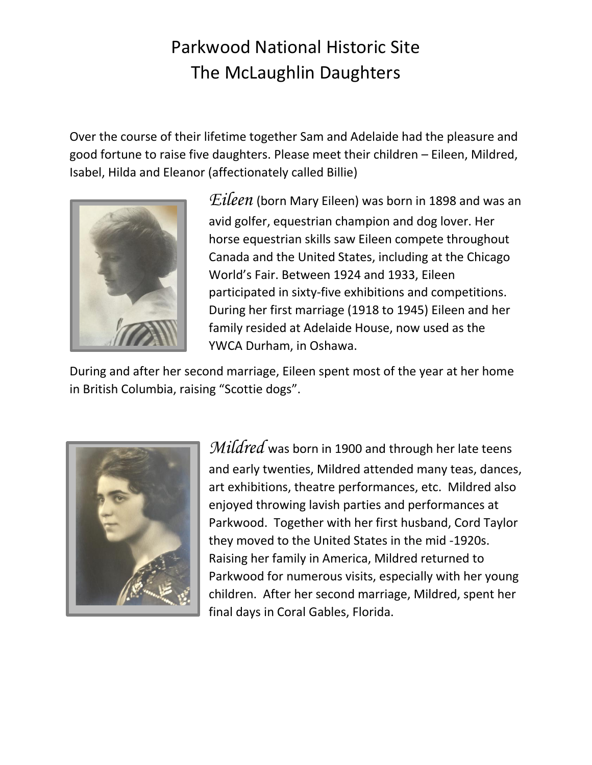## Parkwood National Historic Site The McLaughlin Daughters

Over the course of their lifetime together Sam and Adelaide had the pleasure and good fortune to raise five daughters. Please meet their children – Eileen, Mildred, Isabel, Hilda and Eleanor (affectionately called Billie)



*Eileen* (born Mary Eileen) was born in 1898 and was an avid golfer, equestrian champion and dog lover. Her horse equestrian skills saw Eileen compete throughout Canada and the United States, including at the Chicago World's Fair. Between 1924 and 1933, Eileen participated in sixty-five exhibitions and competitions. During her first marriage (1918 to 1945) Eileen and her family resided at Adelaide House, now used as the YWCA Durham, in Oshawa.

During and after her second marriage, Eileen spent most of the year at her home in British Columbia, raising "Scottie dogs".



*Mildred* was born in 1900 and through her late teens and early twenties, Mildred attended many teas, dances, art exhibitions, theatre performances, etc. Mildred also enjoyed throwing lavish parties and performances at Parkwood. Together with her first husband, Cord Taylor they moved to the United States in the mid -1920s. Raising her family in America, Mildred returned to Parkwood for numerous visits, especially with her young children. After her second marriage, Mildred, spent her final days in Coral Gables, Florida.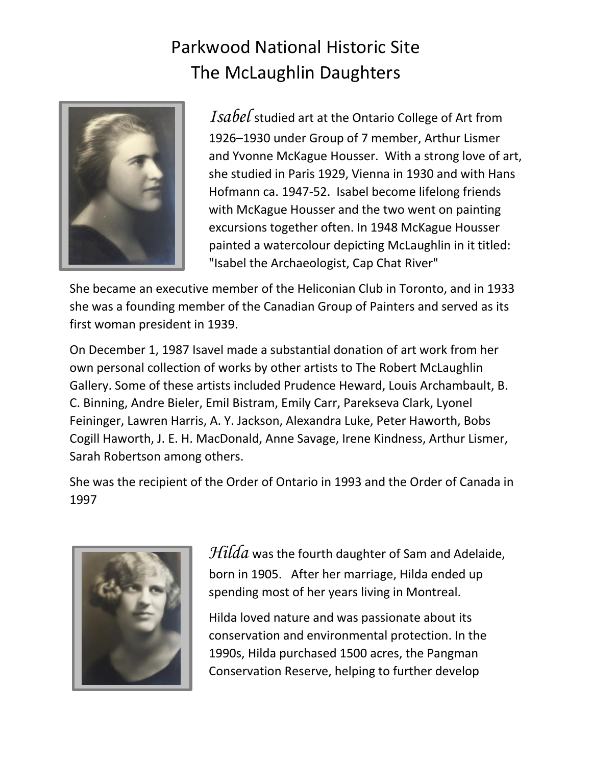## Parkwood National Historic Site The McLaughlin Daughters



*Isabel* studied art at the Ontario College of Art from 1926–1930 under Group of 7 member, Arthur Lismer and Yvonne McKague Housser. With a strong love of art, she studied in Paris 1929, Vienna in 1930 and with Hans Hofmann ca. 1947-52. Isabel become lifelong friends with McKague Housser and the two went on painting excursions together often. In 1948 McKague Housser painted a watercolour depicting McLaughlin in it titled: "Isabel the Archaeologist, Cap Chat River"

She became an executive member of the Heliconian Club in Toronto, and in 1933 she was a founding member of the Canadian Group of Painters and served as its first woman president in 1939.

On December 1, 1987 Isavel made a substantial donation of art work from her own personal collection of works by other artists to The Robert McLaughlin Gallery. Some of these artists included Prudence Heward, Louis Archambault, B. C. Binning, Andre Bieler, Emil Bistram, Emily Carr, Parekseva Clark, Lyonel Feininger, Lawren Harris, A. Y. Jackson, Alexandra Luke, Peter Haworth, Bobs Cogill Haworth, J. E. H. MacDonald, Anne Savage, Irene Kindness, Arthur Lismer, Sarah Robertson among others.

She was the recipient of the Order of Ontario in 1993 and the Order of Canada in 1997



*Hilda* was the fourth daughter of Sam and Adelaide, born in 1905. After her marriage, Hilda ended up spending most of her years living in Montreal.

Hilda loved nature and was passionate about its conservation and environmental protection. In the 1990s, Hilda purchased 1500 acres, the Pangman Conservation Reserve, helping to further develop